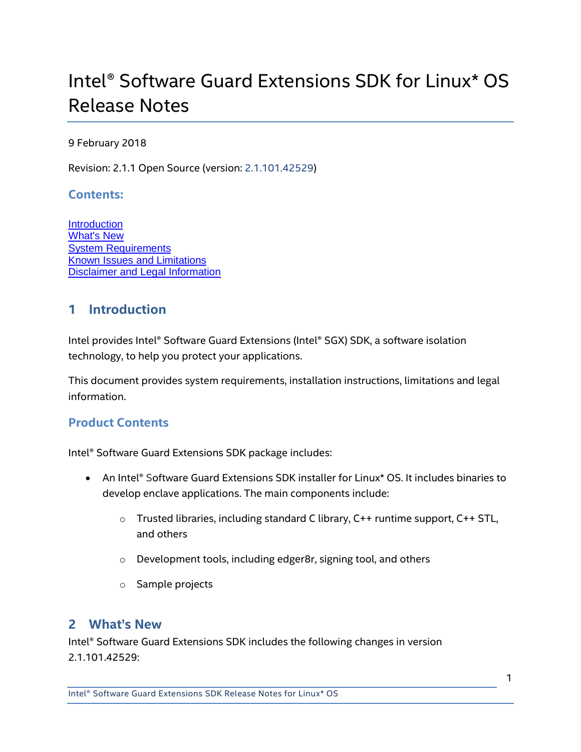# Intel® Software Guard Extensions SDK for Linux\* OS Release Notes

#### 9 February 2018

Revision: 2.1.1 Open Source (version: 2.1.101.42529)

#### **Contents:**

**[Introduction](#page-0-0)** [What's New](#page-0-1) [System Requirements](#page-2-0) [Known Issues and Limitations](#page-3-0) [Disclaimer and Legal Information](#page-3-1)

# <span id="page-0-0"></span>**1 Introduction**

Intel provides Intel® Software Guard Extensions (Intel® SGX) SDK, a software isolation technology, to help you protect your applications.

This document provides system requirements, installation instructions, limitations and legal information.

## **Product Contents**

Intel® Software Guard Extensions SDK package includes:

- An Intel® Software Guard Extensions SDK installer for Linux\* OS. It includes binaries to develop enclave applications. The main components include:
	- $\circ$  Trusted libraries, including standard C library, C++ runtime support, C++ STL, and others
	- o Development tools, including edger8r, signing tool, and others
	- o Sample projects

## <span id="page-0-1"></span>**2 What's New**

Intel® Software Guard Extensions SDK includes the following changes in version 2.1.101.42529: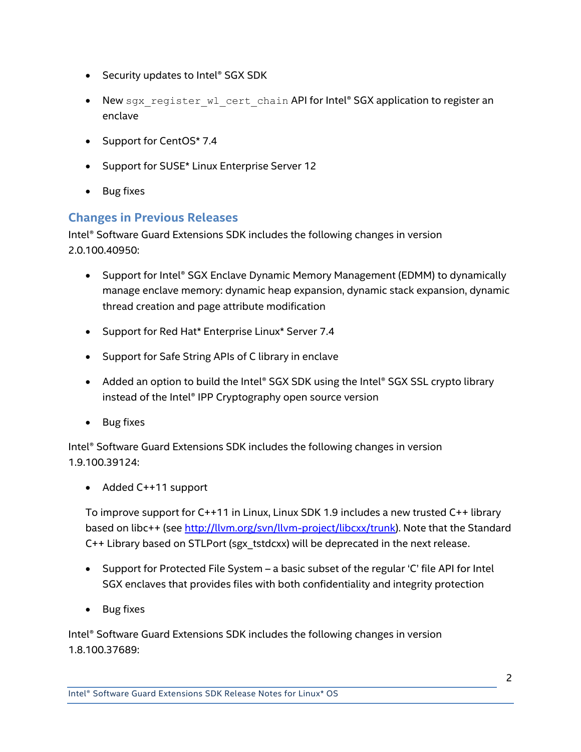- Security updates to Intel® SGX SDK
- New sgx register wl cert chain API for Intel® SGX application to register an enclave
- Support for CentOS\* 7.4
- Support for SUSE\* Linux Enterprise Server 12
- Bug fixes

## **Changes in Previous Releases**

Intel® Software Guard Extensions SDK includes the following changes in version 2.0.100.40950:

- Support for Intel® SGX Enclave Dynamic Memory Management (EDMM) to dynamically manage enclave memory: dynamic heap expansion, dynamic stack expansion, dynamic thread creation and page attribute modification
- Support for Red Hat\* Enterprise Linux\* Server 7.4
- Support for Safe String APIs of C library in enclave
- Added an option to build the Intel® SGX SDK using the Intel® SGX SSL crypto library instead of the Intel® IPP Cryptography open source version
- Bug fixes

Intel® Software Guard Extensions SDK includes the following changes in version 1.9.100.39124:

Added C++11 support

To improve support for C++11 in Linux, Linux SDK 1.9 includes a new trusted C++ library based on libc++ (se[e http://llvm.org/svn/llvm-project/libcxx/trunk\)](http://llvm.org/svn/llvm-project/libcxx/trunk). Note that the Standard C++ Library based on STLPort (sgx\_tstdcxx) will be deprecated in the next release.

- Support for Protected File System a basic subset of the regular 'C' file API for Intel SGX enclaves that provides files with both confidentiality and integrity protection
- Bug fixes

Intel® Software Guard Extensions SDK includes the following changes in version 1.8.100.37689: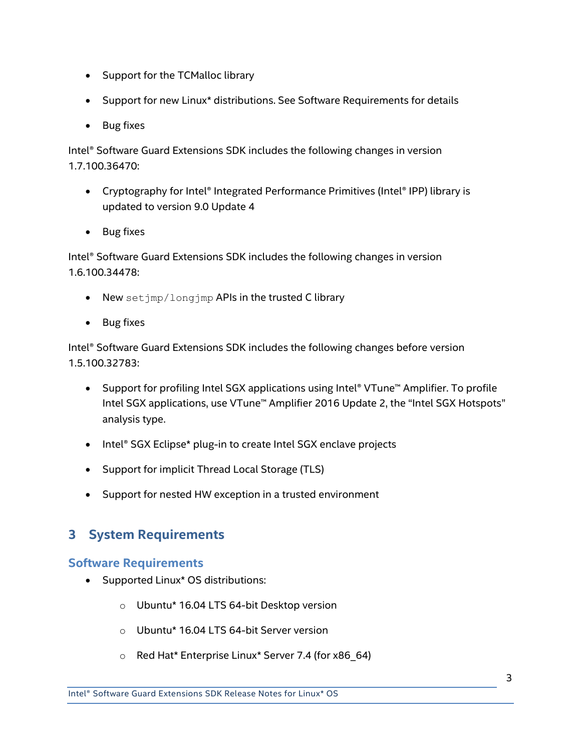- Support for the TCMalloc library
- Support for new Linux\* distributions. See [Software Requirements](#page-2-1) for details
- Bug fixes

Intel® Software Guard Extensions SDK includes the following changes in version 1.7.100.36470:

- Cryptography for Intel® Integrated Performance Primitives (Intel® IPP) library is updated to version 9.0 Update 4
- Bug fixes

Intel® Software Guard Extensions SDK includes the following changes in version 1.6.100.34478:

- New setjmp/longjmp APIs in the trusted C library
- Bug fixes

Intel® Software Guard Extensions SDK includes the following changes before version 1.5.100.32783:

- Support for profiling Intel SGX applications using Intel® VTune™ Amplifier. To profile Intel SGX applications, use VTune™ Amplifier 2016 Update 2, the "Intel SGX Hotspots" analysis type.
- Intel® SGX Eclipse\* plug-in to create Intel SGX enclave projects
- Support for implicit Thread Local Storage (TLS)
- Support for nested HW exception in a trusted environment

# <span id="page-2-0"></span>**3 System Requirements**

## <span id="page-2-1"></span>**Software Requirements**

- Supported Linux\* OS distributions:
	- o Ubuntu\* 16.04 LTS 64-bit Desktop version
	- o Ubuntu\* 16.04 LTS 64-bit Server version
	- o Red Hat\* Enterprise Linux\* Server 7.4 (for x86\_64)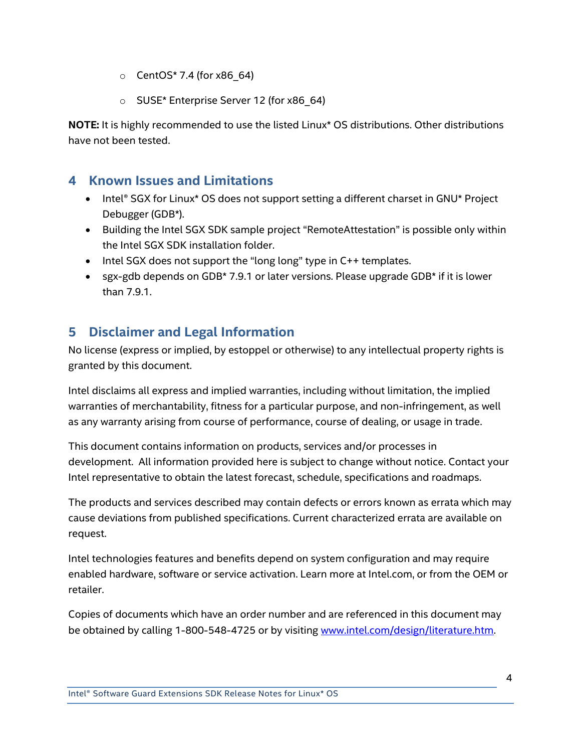- o CentOS\* 7.4 (for x86\_64)
- o SUSE\* Enterprise Server 12 (for x86\_64)

**NOTE:** It is highly recommended to use the listed Linux\* OS distributions. Other distributions have not been tested.

## <span id="page-3-0"></span>**4 Known Issues and Limitations**

- Intel® SGX for Linux\* OS does not support setting a different charset in GNU\* Project Debugger (GDB\*).
- Building the Intel SGX SDK sample project "RemoteAttestation" is possible only within the Intel SGX SDK installation folder.
- Intel SGX does not support the "long long" type in C++ templates.
- sgx-gdb depends on GDB\* 7.9.1 or later versions. Please upgrade GDB\* if it is lower than 7.9.1.

# <span id="page-3-1"></span>**5 Disclaimer and Legal Information**

No license (express or implied, by estoppel or otherwise) to any intellectual property rights is granted by this document.

Intel disclaims all express and implied warranties, including without limitation, the implied warranties of merchantability, fitness for a particular purpose, and non-infringement, as well as any warranty arising from course of performance, course of dealing, or usage in trade.

This document contains information on products, services and/or processes in development. All information provided here is subject to change without notice. Contact your Intel representative to obtain the latest forecast, schedule, specifications and roadmaps.

The products and services described may contain defects or errors known as errata which may cause deviations from published specifications. Current characterized errata are available on request.

Intel technologies features and benefits depend on system configuration and may require enabled hardware, software or service activation. Learn more at Intel.com, or from the OEM or retailer.

Copies of documents which have an order number and are referenced in this document may be obtained by calling 1-800-548-4725 or by visiting [www.intel.com/design/literature.htm.](http://www.intel.com/design/literature.htm)